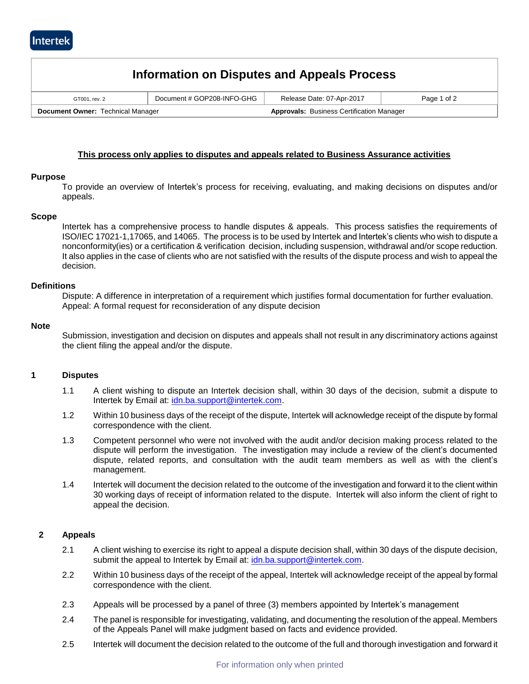| Information on Disputes and Appeals Process |                            |                                                  |             |  |  |
|---------------------------------------------|----------------------------|--------------------------------------------------|-------------|--|--|
| GT001, rev. 2                               | Document # GOP208-INFO-GHG | Release Date: 07-Apr-2017                        | Page 1 of 2 |  |  |
| Document Owner: Technical Manager           |                            | <b>Approvals: Business Certification Manager</b> |             |  |  |

# **This process only applies to disputes and appeals related to Business Assurance activities**

## **Purpose**

To provide an overview of Intertek's process for receiving, evaluating, and making decisions on disputes and/or appeals.

#### **Scope**

Intertek has a comprehensive process to handle disputes & appeals. This process satisfies the requirements of ISO/IEC 17021-1,17065, and 14065. The process is to be used by Intertek and Intertek's clients who wish to dispute a nonconformity(ies) or a certification & verification decision, including suspension, withdrawal and/or scope reduction. It also applies in the case of clients who are not satisfied with the results of the dispute process and wish to appeal the decision.

#### **Definitions**

Dispute: A difference in interpretation of a requirement which justifies formal documentation for further evaluation. Appeal: A formal request for reconsideration of any dispute decision

#### **Note**

Submission, investigation and decision on disputes and appeals shall not result in any discriminatory actions against the client filing the appeal and/or the dispute.

# **1 Disputes**

- 1.1 A client wishing to dispute an Intertek decision shall, within 30 days of the decision, submit a dispute to Intertek by Email at: [idn.ba.support@intertek.com.](mailto:disputes.appeals.ba@intertek.com)
- 1.2 Within 10 business days of the receipt of the dispute, Intertek will acknowledge receipt of the dispute by formal correspondence with the client.
- 1.3 Competent personnel who were not involved with the audit and/or decision making process related to the dispute will perform the investigation. The investigation may include a review of the client's documented dispute, related reports, and consultation with the audit team members as well as with the client's management.
- 1.4 Intertek will document the decision related to the outcome of the investigation and forward it to the client within 30 working days of receipt of information related to the dispute. Intertek will also inform the client of right to appeal the decision.

## **2 Appeals**

- 2.1 A client wishing to exercise its right to appeal a dispute decision shall, within 30 days of the dispute decision, submit the appeal to Intertek by Email at: [idn.ba.support@intertek.com.](mailto:disputes.appeals.ba@intertek.com)
- 2.2 Within 10 business days of the receipt of the appeal, Intertek will acknowledge receipt of the appeal by formal correspondence with the client.
- 2.3 Appeals will be processed by a panel of three (3) members appointed by Intertek's management
- 2.4 The panel is responsible for investigating, validating, and documenting the resolution of the appeal. Members of the Appeals Panel will make judgment based on facts and evidence provided.
- 2.5 Intertek will document the decision related to the outcome of the full and thorough investigation and forward it